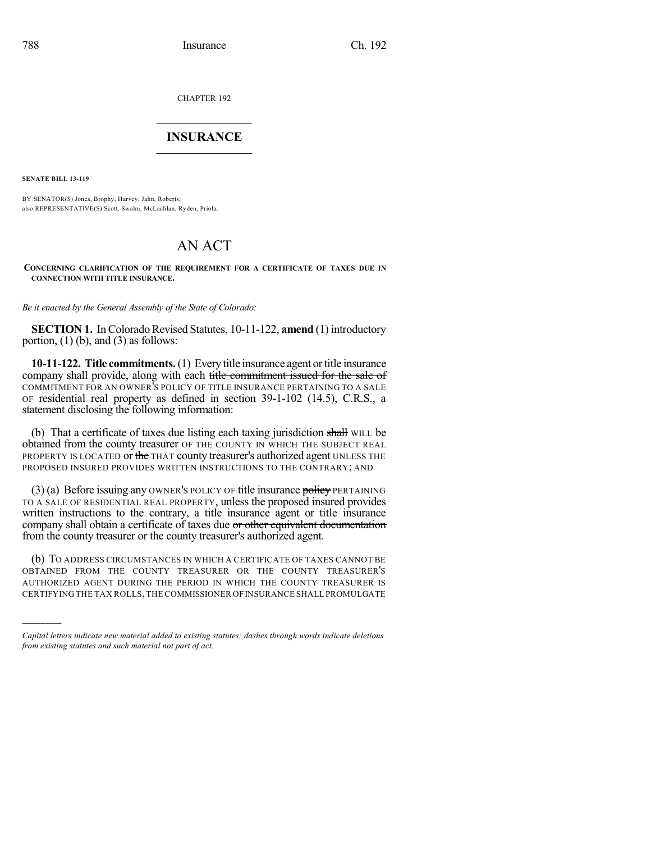CHAPTER 192

## $\overline{\phantom{a}}$  . The set of the set of the set of the set of the set of the set of the set of the set of the set of the set of the set of the set of the set of the set of the set of the set of the set of the set of the set o **INSURANCE**  $\frac{1}{2}$  ,  $\frac{1}{2}$  ,  $\frac{1}{2}$  ,  $\frac{1}{2}$  ,  $\frac{1}{2}$  ,  $\frac{1}{2}$  ,  $\frac{1}{2}$

**SENATE BILL 13-119**

)))))

BY SENATOR(S) Jones, Brophy, Harvey, Jahn, Roberts; also REPRESENTATIVE(S) Scott, Swalm, McLachlan, Ryden, Priola.

## AN ACT

## **CONCERNING CLARIFICATION OF THE REQUIREMENT FOR A CERTIFICATE OF TAXES DUE IN CONNECTION WITH TITLE INSURANCE.**

*Be it enacted by the General Assembly of the State of Colorado:*

**SECTION 1.** In Colorado Revised Statutes, 10-11-122, **amend** (1) introductory portion,  $(1)$  (b), and  $(3)$  as follows:

**10-11-122. Title commitments.**(1) Every title insurance agent ortitle insurance company shall provide, along with each title commitment issued for the sale of COMMITMENT FOR AN OWNER'S POLICY OF TITLE INSURANCE PERTAINING TO A SALE OF residential real property as defined in section 39-1-102 (14.5), C.R.S., a statement disclosing the following information:

(b) That a certificate of taxes due listing each taxing jurisdiction shall WILL be obtained from the county treasurer OF THE COUNTY IN WHICH THE SUBJECT REAL PROPERTY IS LOCATED or the THAT county treasurer's authorized agent UNLESS THE PROPOSED INSURED PROVIDES WRITTEN INSTRUCTIONS TO THE CONTRARY; AND

 $(3)$  (a) Before issuing any OWNER's POLICY OF title insurance policy PERTAINING TO A SALE OF RESIDENTIAL REAL PROPERTY, unless the proposed insured provides written instructions to the contrary, a title insurance agent or title insurance company shall obtain a certificate of taxes due or other equivalent documentation from the county treasurer or the county treasurer's authorized agent.

(b) TO ADDRESS CIRCUMSTANCES IN WHICH A CERTIFICATE OF TAXES CANNOT BE OBTAINED FROM THE COUNTY TREASURER OR THE COUNTY TREASURER'S AUTHORIZED AGENT DURING THE PERIOD IN WHICH THE COUNTY TREASURER IS CERTIFYING THE TAX ROLLS,THE COMMISSIONER OFINSURANCE SHALL PROMULGATE

*Capital letters indicate new material added to existing statutes; dashes through words indicate deletions from existing statutes and such material not part of act.*